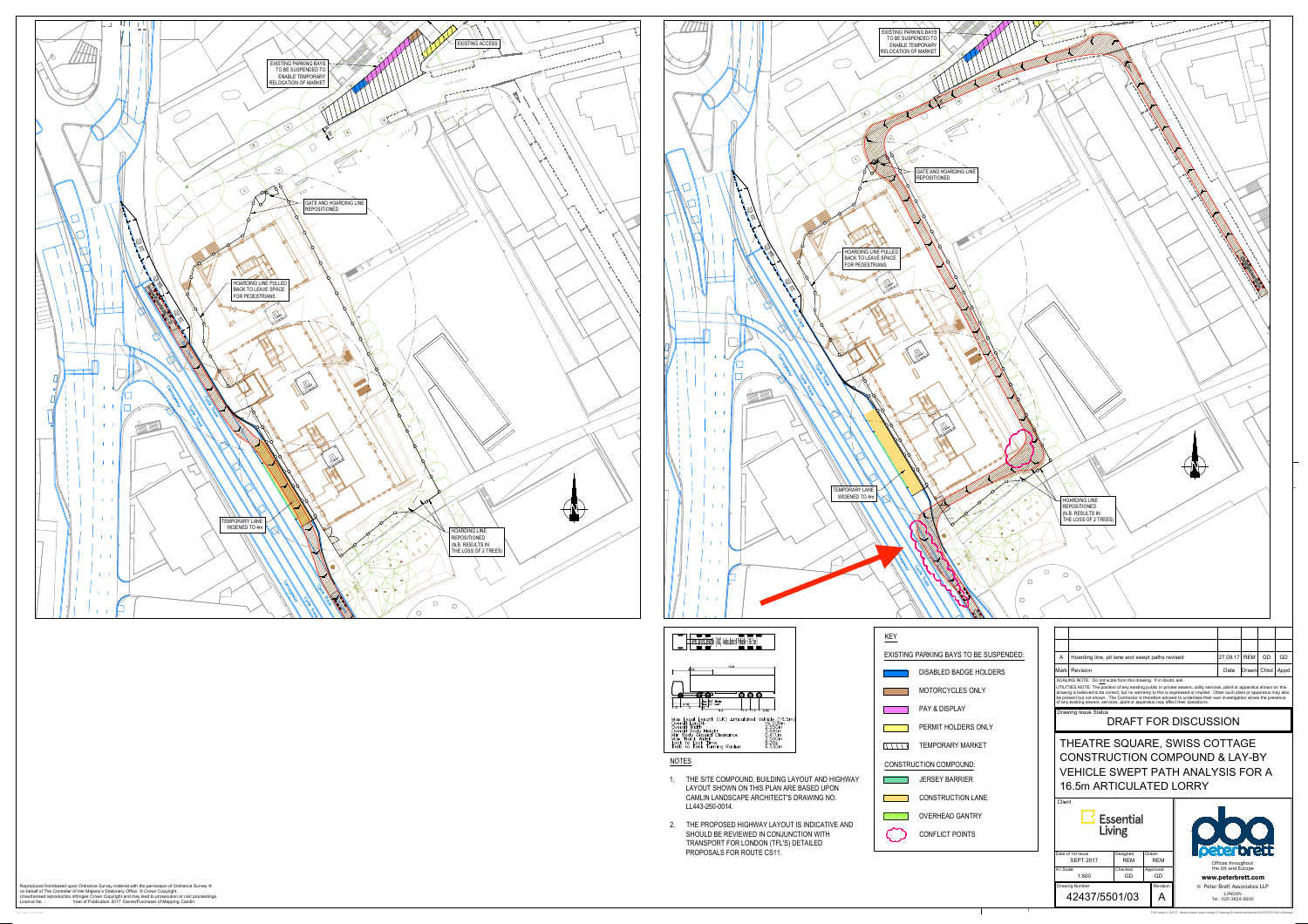

user name: richard mallett